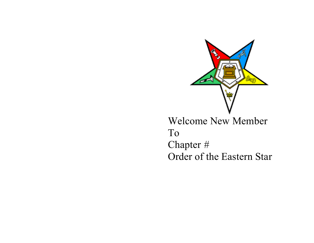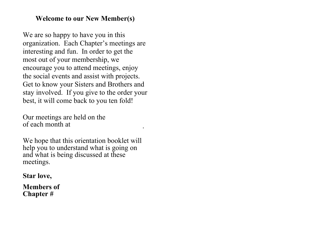# Welcome to our New Member(s)

We are so happy to have you in this organization. Each Chapter's meetings are interesting and fun. In order to get the most out of your membership, we encourage you to attend meetings, enjoy the social events and assist with projects. Get to know your Sisters and Brothers and stay involved. If you give to the order your best, it will come back to you ten fold!

Our meetings are held on the of each month at

We hope that this orientation booklet will help you to understand what is going on and what is being discussed at these meetings.

.

# Star love,

Members of Chapter #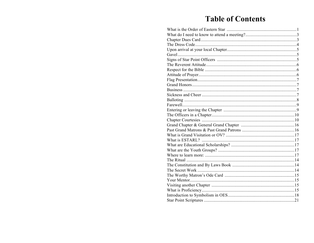# **Table of Contents**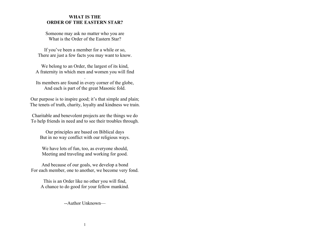#### WHAT IS THE ORDER OF THE EASTERN STAR?

Someone may ask no matter who you are What is the Order of the Eastern Star?

If you've been a member for a while or so, There are just a few facts you may want to know.

We belong to an Order, the largest of its kind, A fraternity in which men and women you will find

Its members are found in every corner of the globe, And each is part of the great Masonic fold.

.

Our purpose is to inspire good; it's that simple and plain; The tenets of truth, charity, loyalty and kindness we train.

Charitable and benevolent projects are the things we do To help friends in need and to see their troubles through.

Our principles are based on Biblical days But in no way conflict with our religious ways.

We have lots of fun, too, as everyone should, Meeting and traveling and working for good.

And because of our goals, we develop a bond For each member, one to another, we become very fond.

This is an Order like no other you will find, A chance to do good for your fellow mankind.

--Author Unknown—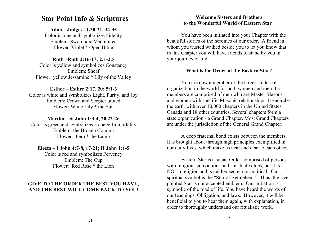## Star Point Info & Scriptures

## Adah – Judges 11.30-31, 34-35

Color is blue and symbolizes Fidelity Emblem: Sword and Veil united Flower: Violet \* Open Bible

## Ruth –Ruth 2:16-17; 2:1-2.5

Color is yellow and symbolizes Constancy Emblem: Sheaf Flower: yellow Jessamine \* Lily of the Valley

## Esther – Esther 2:17, 20; 5:1-3

Color is white and symbolizes Light, Purity, and Joy Emblem: Crown and Scepter united Flower: White Lily \* the Sun

#### Martha – St John 1:3-4, 20,22-26

Color is green and symbolizes Hope & Immortality Emblem: the Broken Column Flower: Fern \* the Lamb

## Electa – I John 4:7-8, 17-21; II John 1:1-5

Color is red and symbolizes Fervency Emblem: The Cup Flower: Red Rose \* the Lion

## GIVE TO THE ORDER THE BEST YOU HAVE, AND THE BEST WILL COME BACK TO YOU!

## Welcome Sisters and Brothers to the Wonderful World of Eastern Star

You have been initiated into your Chapter with the beautiful stories of the heroines of our order. A friend in whom you trusted walked beside you to let you know that in this Chapter you will have friends to stand by you in your journey of life.

## What is the Order of the Eastern Star?

You are now a member of the largest fraternal organization in the world for both women and men. Its members are comprised of men who are Master Masons and women with specific Masonic relationships. It encircles the earth with over 10,000 chapters in the United States, Canada and 18 other countries. Several chapters form a state organization - a Grand Chapter. Most Grand Chapters are under the jurisdiction of the General Grand Chapter.

A deep fraternal bond exists between the members. It is brought about through high principles exemplified in our daily lives, which make us near and dear to each other.

Eastern Star is a social Order comprised of persons with religious convictions and spiritual values, but it is NOT a religion and is neither secret nor political. Our spiritual symbol is the "Star of Bethlehem." Thus, the fivepointed Star is our accepted emblem. Our initiation is symbolic of the road of life. You have heard the words of our teachings, Obligation, and laws. However, it will be beneficial to you to hear them again, with explanation, in order to thoroughly understand our ritualistic work.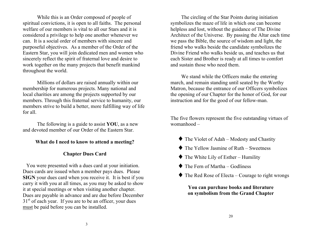While this is an Order composed of people of spiritual convictions, it is open to all faiths. The personal welfare of our members is vital to all our Stars and it is considered a privilege to help one another whenever we can. It is a social order of members with sincere and purposeful objectives. As a member of the Order of the Eastern Star, you will join dedicated men and women who sincerely reflect the spirit of fraternal love and desire to work together on the many projects that benefit mankind throughout the world.

Millions of dollars are raised annually within our membership for numerous projects. Many national and local charities are among the projects supported by our members. Through this fraternal service to humanity, our members strive to build a better, more fulfilling way of life for all.

The following is a guide to assist YOU, as a new and devoted member of our Order of the Eastern Star.

## What do I need to know to attend a meeting?

## Chapter Dues Card

You were presented with a dues card at your initiation. Dues cards are issued when a member pays dues. Please SIGN your dues card when you receive it. It is best if you carry it with you at all times, as you may be asked to show it at special meetings or when visiting another chapter. Dues are payable in advance and are due before December  $31<sup>st</sup>$  of each year. If you are to be an officer, your dues must be paid before you can be installed.

The circling of the Star Points during initiation symbolizes the maze of life in which one can become helpless and lost, without the guidance of The Divine Architect of the Universe. By passing the Altar each time we pass the Bible, the source of wisdom and light, the friend who walks beside the candidate symbolizes the Divine Friend who walks beside us, and teaches us that each Sister and Brother is ready at all times to comfort and sustain those who need them.

We stand while the Officers make the entering march, and remain standing until seated by the Worthy Matron, because the entrance of our Officers symbolizes the opening of our Chapter for the honor of God, for our instruction and for the good of our fellow-man.

The five flowers represent the five outstanding virtues of womanhood –

- $\blacklozenge$  The Violet of Adah Modesty and Chastity
- $\blacklozenge$  The Yellow Jasmine of Ruth Sweetness
- $\blacklozenge$  The White Lily of Esther Humility
- $\blacklozenge$  The Fern of Martha Godliness
- $\blacklozenge$  The Red Rose of Electa Courage to right wrongs

You can purchase books and literature on symbolism from the Grand Chapter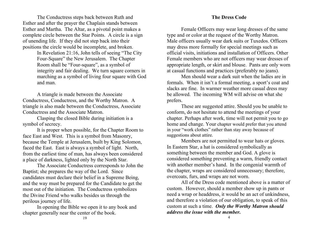The Conductress steps back between Ruth and Esther and after the prayer the Chaplain stands between Esther and Martha. The Altar, as a pivotal point makes a complete circle between the Star Points. A circle is a sign of unending life. If they did not step back into their positions the circle would be incomplete, and broken.

> In Revelation 21:16, John tells of seeing "The City Four-Square" the New Jerusalem. The Chapter Room shall be "Four-square", as a symbol of integrity and fair dealing. We turn square corners in marching as a symbol of living four square with God and man.

A triangle is made between the Associate Conductress, Conductress, and the Worthy Matron. A triangle is also made between the Conductress, Associate Conductress and the Associate Matron.

Clasping the closed Bible during initiation is a symbol of secrecy.

It is proper when possible, for the Chapter Room to face East and West. This is a symbol from Masonry, because the Temple at Jerusalem, built by King Solomon, faced the East. East is always a symbol of light. North, from the earliest time of man, has always been considered a place of darkness, lighted only by the North Star.

The Associate Conductress corresponds to John the Baptist; she prepares the way of the Lord. Since candidates must declare their belief in a Supreme Being, and the way must be prepared for the Candidate to get the most out of the initiation. The Conductress symbolizes the Divine Friend who walks besides us through the perilous journey of life.

In opening the Bible we open it to any book and chapter generally near the center of the book.

#### The Dress Code

Female Officers may wear long dresses of the same type and or color at the request of the Worthy Matron. Male officers usually wear dark suits or Tuxedos. Officers may dress more formally for special meetings such as official visits, initiations and installation of Officers. Other Female members who are not officers may wear dresses of appropriate length, or skirt and blouse. Pants are only worn at casual functions and practices (preferably no jeans).

Men should wear a dark suit when the ladies are in formals. When it isn't a formal meeting, a sport's coat and slacks are fine. In warmer weather more casual dress may be allowed. The incoming WM will advise on what she prefers.

These are suggested attire. Should you be unable to conform, do not hesitate to attend the meetings of your chapter. Perhaps after work, time will not permit you to go home and change. Your chapter would prefer that you attend in your "work clothes" rather than stay away because of suggestions about attire.

Members are not permitted to wear hats or gloves. In Eastern Star, a hat is considered symbolically as something between the member and God. A glove is considered something preventing a warm, friendly contact with another member's hand. In the congenial warmth of the chapter, wraps are considered unnecessary; therefore, overcoats, furs, and wraps are not worn.

All of the Dress code mentioned above is a matter of custom. However, should a member show up in pants or need a wrap or headdress, it would be an act of unkindness, and therefore a violation of our obligation, to speak of this custom at such a time. *Only the Worthy Matron should address the issue with the member.*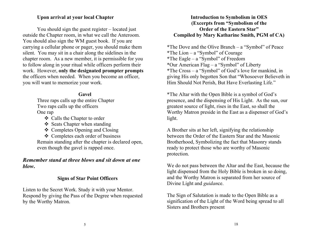## Upon arrival at your local Chapter

You should sign the guest register – located just outside the Chapter room, in what we call the Anteroom. You should also sign the WM guest book. If you are carrying a cellular phone or pager, you should make them silent. You may sit in a chair along the sidelines in the chapter room. As a new member, it is permissible for you to follow along in your ritual while officers perform their work. However, only the designated prompter prompts the officers when needed. When you become an officer, you will want to memorize your work.

#### Gavel

Three raps calls up the entire Chapter Two raps calls up the officers One rap

v Calls the Chapter to order

 $\div$  Seats Chapter when standing

v Completes Opening and Closing

v Completes each order of business Remain standing after the chapter is declared open, even though the gavel is rapped once.

## *Remember stand at three blows and sit down at one blow*.

## Signs of Star Point Officers

Listen to the Secret Work. Study it with your Mentor. Respond by giving the Pass of the Degree when requested by the Worthy Matron.

## Introduction to Symbolism in OES (Excerpts from "Symbolism of the Order of the Eastern Star" Compiled by Mary Katharine Smith, PGM of CA)

\*The Dove and the Olive Branch – a "Symbol" of Peace \*The Lion – a "Symbol" of Courage \*The Eagle – a "Symbol" of Freedom \*Our American Flag – a "Symbol" of Liberty \*The Cross – a "Symbol" of God's love for mankind, in giving His only begotten Son that "Whosoever Believeth in Him Should Not Perish, But Have Everlasting Life."

\*The Altar with the Open Bible is a symbol of God's presence, and the dispensing of His Light. As the sun, our greatest source of light, rises in the East, so shall the Worthy Matron preside in the East as a dispenser of God's light.

A Brother sits at her left, signifying the relationship between the Order of the Eastern Star and the Masonic Brotherhood, Symbolizing the fact that Masonry stands ready to protect those who are worthy of Masonic protection.

We do not pass between the Altar and the East, because the light dispensed from the Holy Bible is broken in so doing, and the Worthy Matron is separated from her source of Divine Light and *guidan*ce.

The Sign of Salutation is made to the Open Bible as a signification of the Light of the Word being spread to all Sisters and Brothers present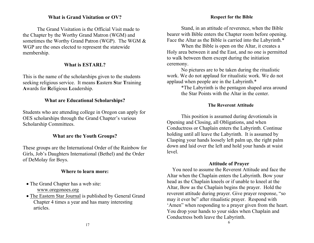## What is Grand Visitation or OV?

The Grand Visitation is the Official Visit made to the Chapter by the Worthy Grand Matron (WGM) and sometimes the Worthy Grand Patron (WGP). The WGM & WGP are the ones elected to represent the statewide membership.

#### What is ESTARL?

This is the name of the scholarships given to the students seeking religious service. It means Eastern Star Training Awards for Religious Leadership.

#### What are Educational Scholarships?

Students who are attending college in Oregon can apply for OES scholarships through the Grand Chapter's various Scholarship Committees.

## What are the Youth Groups?

These groups are the International Order of the Rainbow for Girls, Job's Daughters International (Bethel) and the Order of DeMolay for Boys.

#### Where to learn more:

- The Grand Chapter has a web site: www.oregonoes.org
- The Eastern Star Journal is published by General Grand Chapter 4 times a year and has many interesting articles.

Stand, in an attitude of reverence, when the Bible bearer with Bible enters the Chapter room before opening. Face the Altar as the Bible is carried into the Labyrinth.\*

When the Bible is open on the Altar, it creates a Holy area between it and the East, and no one is permitted to walk between them except during the initiation ceremony.

No pictures are to be taken during the ritualistic work. We do not applaud for ritualistic work. We do not applaud when people are in the Labyrinth.\*

> \*The Labyrinth is the pentagon shaped area around the Star Points with the Altar in the center.

#### The Reverent Attitude

This position is assumed during devotionals in Opening and Closing, all Obligations, and when Conductress or Chaplain enters the Labyrinth. Continue holding until all leave the Labyrinth. It is assumed by Clasping your hands loosely left palm up, the right palm down and laid over the left and hold your hands at waist level.

#### Attitude of Prayer

You need to assume the Reverent Attitude and face the Altar when the Chaplain enters the Labyrinth. Bow your head as the Chaplain kneels or if unable to kneel at the Altar, Bow as the Chaplain begins the prayer. Hold the reverent attitude during prayer. Give prayer response, "so may it ever be" after ritualistic prayer. Respond with 'Amen" when responding to a prayer given from the heart. You drop your hands to your sides when Chaplain and Conductress both leave the Labyrinth.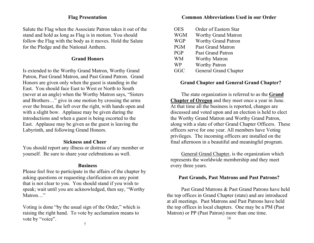## Flag Presentation

Salute the Flag when the Associate Patron takes it out of the stand and hold as long as Flag is in motion. You should follow the Flag with the body as it moves. Hold the Salute for the Pledge and the National Anthem.

## Grand Honors

Is extended to the Worthy Grand Matron, Worthy Grand Patron, Past Grand Matron, and Past Grand Patron. Grand Honors are given only when the guest is standing in the East. You should face East to West or North to South (never at an angle) when the Worthy Matron says, "Sisters and Brothers…" give in one motion by crossing the arms over the breast, the left over the right, with hands open and with a slight bow. Applause may be given during the introductions and when a guest is being escorted to the East. Applause may be given as the guest is leaving the Labyrinth, and following Grand Honors.

## Sickness and Cheer

You should report any illness or distress of any member or yourself. Be sure to share your celebrations as well.

#### **Business**

Please feel free to participate in the affairs of the chapter by asking questions or requesting clarification on any point that is not clear to you. You should stand if you wish to speak; wait until you are acknowledged, then say, "Worthy Matron…"

Voting is done "by the usual sign of the Order," which is raising the right hand. To vote by acclamation means to vote by "voice".

## Common Abbreviations Used in our Order

OES Order of Eastern Star WGM Worthy Grand Matron WGP Worthy Grand Patron PGM Past Grand Matron PGP Past Grand Patron WM Worthy Matron WP Worthy Patron GGC General Grand Chapter

#### Grand Chapter and General Grand Chapter?

The state organization is referred to as the Grand Chapter of Oregon and they meet once a year in June. At that time all the business is reported, changes are discussed and voted upon and an election is held to elect the Worthy Grand Matron and Worthy Grand Patron, along with a slate of other Grand Chapter Officers. These officers serve for one year. All members have Voting privileges. The incoming officers are installed on the final afternoon in a beautiful and meaningful program.

General Grand Chapter, is the organization which represents the worldwide membership and they meet every three years.

#### Past Grands, Past Matrons and Past Patrons?

Past Grand Matrons & Past Grand Patrons have held the top offices in Grand Chapter (state) and are introduced at all meetings. Past Matrons and Past Patrons have held the top offices in local chapters. One may be a PM (Past Matron) or PP (Past Patron) more than one time.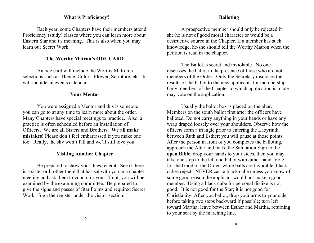#### What is Proficiency?

Each year, some Chapters have their members attend Proficiency (study) classes where you can learn more about Eastern Star and its meaning. This is also when you may learn our Secret Work.

#### The Worthy Matron's ODE CARD

An ode card will include the Worthy Matron's selections such as Theme, Colors, Flower, Scripture, etc. It will include an events calendar.

#### Your Mentor

You were assigned a Mentor and this is someone you can go to at any time to learn more about the order. Many Chapters have special meetings to practice. Also, a practice is often scheduled before an Installation of Officers. We are all Sisters and Brothers. We all make mistakes! Please don't feel embarrassed if you make one too. Really, the sky won't fall and we'll still love you.

#### Visiting Another Chapter

Be prepared to show your dues receipt. See if there is a sister or brother there that has sat with you in a chapter meeting and ask them to vouch for you. If not, you will be examined by the examining committee. Be prepared to give the signs and passes of Star Points and required Secret Work. Sign the register under the visitor section.

#### Balloting

A prospective member should only be rejected if she/he is not of good moral character or would be a destructive source in the Chapter. If a member has such knowledge, he/she should tell the Worthy Matron when the petition is read in the chapter.

The Ballot is secret and inviolable. No one discusses the ballot in the presence of those who are not members of the Order. Only the Secretary discloses the results of the ballot to the new applicants for membership. Only members of the Chapter to which application is made may vote on the application.

Usually the ballot box is placed on the altar. Members on the south ballot first after the officers have balloted. Do not carry anything in your hands or have any wrap draped loosely over your shoulders. Observe how the officers form a triangle prior to entering the Labyrinth between Ruth and Esther; you will pause at those points. After the person in front of you completes the balloting, approach the Altar and make the Salutation Sign to the open Bible, drop your hands to your sides, then you may take one step to the left and ballot with either hand. Vote for the Good of the Order: white balls are favorable; black cubes reject. NEVER cast a black cube unless you know of some good reason the applicant would not make a good member. Using a black cube for personal dislike is not good. It is not good for the Star; it is not good for Christianity. After you ballot, drop your arms to your side before taking two steps backward if possible; turn left toward Martha; leave between Esther and Martha, returning to your seat by the marching line.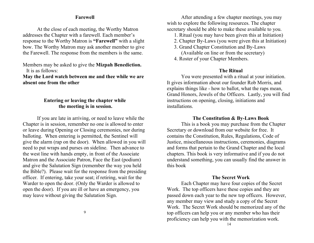#### Farewell

At the close of each meeting, the Worthy Matron addresses the Chapter with a farewell. Each member's response to the Worthy Matron is "Farewell" with a slight bow. The Worthy Matron may ask another member to give the Farewell. The response from the members is the same.

## Members may be asked to give the Mizpah Benediction. It is as follows:

May the Lord watch between me and thee while we are absent one from the other

## Entering or leaving the chapter while the meeting is in session.

If you are late in arriving, or need to leave while the Chapter is in session, remember no one is allowed to enter or leave during Opening or Closing ceremonies, nor during balloting. When entering is permitted, the Sentinel will give the alarm (rap on the door). When allowed in you will need to put wraps and purses on sideline. Then advance to the west line with hands empty, in front of the Associate Matron and the Associate Patron, Face the East (podium) and give the Salutation Sign (remember the way you held the Bible?). Please wait for the response from the presiding officer. If entering, take your seat; if retiring, wait for the Warder to open the door. (Only the Warder is allowed to open the door). If you are ill or have an emergency, you may leave without giving the Salutation Sign.

After attending a few chapter meetings, you may wish to explore the following resources. The chapter secretary should be able to make these available to you.

1. Ritual (you may have been given this at Initiation)

- 2. Chapter By-Laws (you were given this at Initiation)
- 3. Grand Chapter Constitution and By-Laws
	- (Available on line or from the secretary)
- 4. Roster of your Chapter Members.

## The Ritual

You were presented with a ritual at your initiation. It gives information about our founder Rob Morris, and explains things like - how to ballot, what the raps mean, Grand Honors, Jewels of the Officers. Lastly, you will find instructions on opening, closing, initiations and installations.

#### The Constitution & By-Laws Book

This is a book you may purchase from the Chapter Secretary or download from our website for free. It contains the Constitution, Rules, Regulations, Code of Justice, miscellaneous instructions, ceremonies, diagrams and forms that pertain to the Grand Chapter and the local chapters. This book is very informative and if you do not understand something, you can usually find the answer in this book

## The Secret Work

Each Chapter may have four copies of the Secret Work. The top officers have these copies and they are passed down each year to the new top officers. However, any member may view and study a copy of the Secret Work. The Secret Work should be memorized any of the top officers can help you or any member who has their proficiency can help you with the memorization work.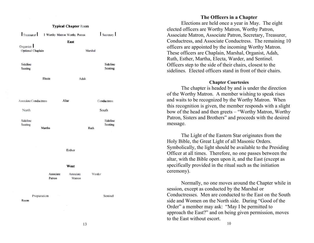

#### The Officers in a Chapter

Elections are held once a year in May. The eight elected officers are Worthy Matron, Worthy Patron, Associate Matron, Associate Patron, Secretary, Treasurer, Conductress, and Associate Conductress. The remaining 10 officers are appointed by the incoming Worthy Matron. These officers are Chaplain, Marshal, Organist, Adah, Ruth, Esther, Martha, Electa, Warder, and Sentinel. Officers step to the side of their chairs, closest to the sidelines. Elected officers stand in front of their chairs.

#### Chapter Courtesies

The chapter is headed by and is under the direction of the Worthy Matron. A member wishing to speak rises and waits to be recognized by the Worthy Matron. When this recognition is given, the member responds with a slight bow of the head and then greets – "Worthy Matron, Worthy Patron, Sisters and Brothers" and proceeds with the desired message.

The Light of the Eastern Star originates from the Holy Bible, the Great Light of all Masonic Orders. Symbolically, the light should be available to the Presiding Officer at all times. Therefore, no one passes between the altar, with the Bible open upon it, and the East (except as specifically provided in the ritual such as the initiation ceremony).

Normally, no one moves around the Chapter while in session, except as conducted by the Marshal or Conductresses. Men are conducted to the East on the South side and Women on the North side. During "Good of the Order" a member may ask: "May I be permitted to approach the East?" and on being given permission, moves to the East without escort.